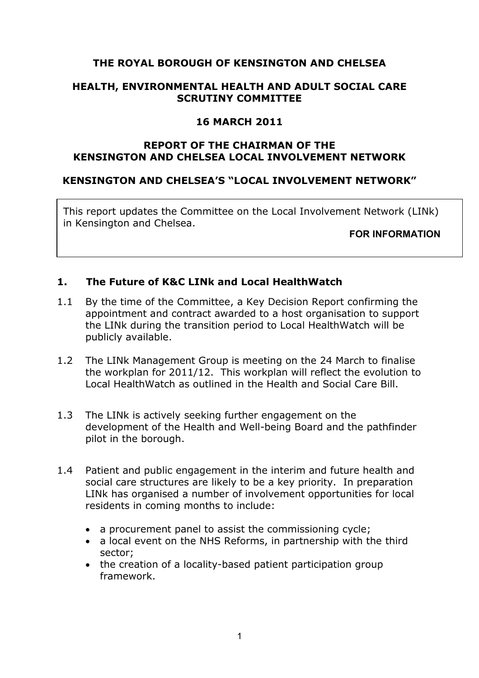## **THE ROYAL BOROUGH OF KENSINGTON AND CHELSEA**

### **HEALTH, ENVIRONMENTAL HEALTH AND ADULT SOCIAL CARE SCRUTINY COMMITTEE**

## **16 MARCH 2011**

### **REPORT OF THE CHAIRMAN OF THE KENSINGTON AND CHELSEA LOCAL INVOLVEMENT NETWORK**

### **KENSINGTON AND CHELSEA'S "LOCAL INVOLVEMENT NETWORK"**

This report updates the Committee on the Local Involvement Network (LINk) in Kensington and Chelsea.

**FOR INFORMATION**

## **1. The Future of K&C LINk and Local HealthWatch**

- 1.1 By the time of the Committee, a Key Decision Report confirming the appointment and contract awarded to a host organisation to support the LINk during the transition period to Local HealthWatch will be publicly available.
- 1.2 The LINk Management Group is meeting on the 24 March to finalise the workplan for 2011/12. This workplan will reflect the evolution to Local HealthWatch as outlined in the Health and Social Care Bill.
- 1.3 The LINk is actively seeking further engagement on the development of the Health and Well-being Board and the pathfinder pilot in the borough.
- 1.4 Patient and public engagement in the interim and future health and social care structures are likely to be a key priority. In preparation LINk has organised a number of involvement opportunities for local residents in coming months to include:
	- a procurement panel to assist the commissioning cycle;
	- a local event on the NHS Reforms, in partnership with the third sector;
	- the creation of a locality-based patient participation group framework.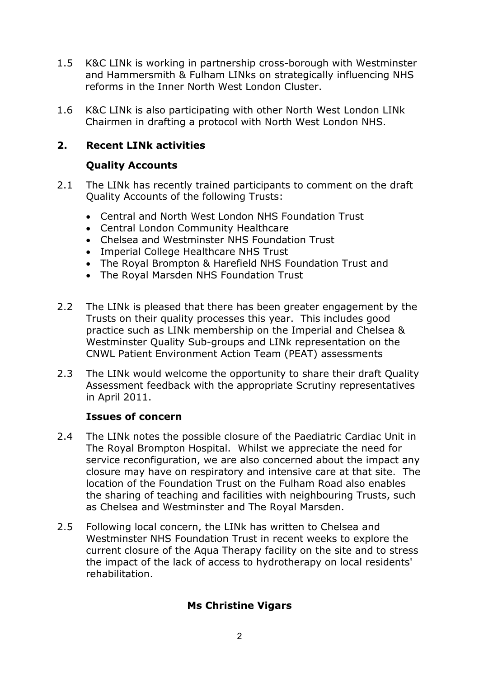- 1.5 K&C LINk is working in partnership cross-borough with Westminster and Hammersmith & Fulham LINks on strategically influencing NHS reforms in the Inner North West London Cluster.
- 1.6 K&C LINk is also participating with other North West London LINk Chairmen in drafting a protocol with North West London NHS.

# **2. Recent LINk activities**

# **Quality Accounts**

- 2.1 The LINk has recently trained participants to comment on the draft Quality Accounts of the following Trusts:
	- Central and North West London NHS Foundation Trust
	- Central London Community Healthcare
	- Chelsea and Westminster NHS Foundation Trust
	- Imperial College Healthcare NHS Trust
	- The Royal Brompton & Harefield NHS Foundation Trust and
	- The Royal Marsden NHS Foundation Trust
- 2.2 The LINk is pleased that there has been greater engagement by the Trusts on their quality processes this year. This includes good practice such as LINk membership on the Imperial and Chelsea & Westminster Quality Sub-groups and LINk representation on the CNWL Patient Environment Action Team (PEAT) assessments
- 2.3 The LINk would welcome the opportunity to share their draft Quality Assessment feedback with the appropriate Scrutiny representatives in April 2011.

# **Issues of concern**

- 2.4 The LINk notes the possible closure of the Paediatric Cardiac Unit in The Royal Brompton Hospital. Whilst we appreciate the need for service reconfiguration, we are also concerned about the impact any closure may have on respiratory and intensive care at that site. The location of the Foundation Trust on the Fulham Road also enables the sharing of teaching and facilities with neighbouring Trusts, such as Chelsea and Westminster and The Royal Marsden.
- 2.5 Following local concern, the LINk has written to Chelsea and Westminster NHS Foundation Trust in recent weeks to explore the current closure of the Aqua Therapy facility on the site and to stress the impact of the lack of access to hydrotherapy on local residents' rehabilitation.

# **Ms Christine Vigars**